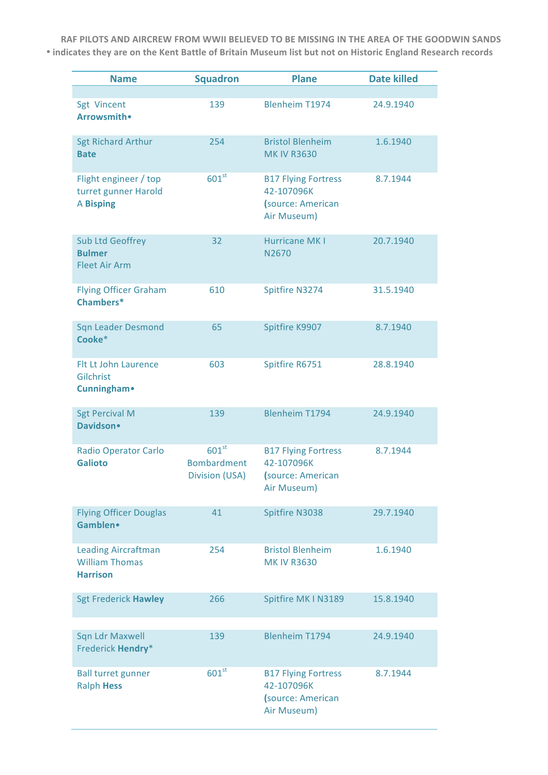RAF PILOTS AND AIRCREW FROM WWII BELIEVED TO BE MISSING IN THE AREA OF THE GOODWIN SANDS • indicates they are on the Kent Battle of Britain Museum list but not on Historic England Research records

| <b>Name</b>                                                            | <b>Squadron</b>                                                  | <b>Plane</b>                                                                 | <b>Date killed</b> |
|------------------------------------------------------------------------|------------------------------------------------------------------|------------------------------------------------------------------------------|--------------------|
| Sgt Vincent<br>Arrowsmith .                                            | 139                                                              | <b>Blenheim T1974</b>                                                        | 24.9.1940          |
| <b>Sgt Richard Arthur</b><br><b>Bate</b>                               | 254                                                              | <b>Bristol Blenheim</b><br><b>MK IV R3630</b>                                | 1.6.1940           |
| Flight engineer / top<br>turret gunner Harold<br><b>A Bisping</b>      | 601 <sup>st</sup>                                                | <b>B17 Flying Fortress</b><br>42-107096K<br>(source: American<br>Air Museum) | 8.7.1944           |
| <b>Sub Ltd Geoffrey</b><br><b>Bulmer</b><br><b>Fleet Air Arm</b>       | 32                                                               | <b>Hurricane MKI</b><br>N2670                                                | 20.7.1940          |
| <b>Flying Officer Graham</b><br>Chambers*                              | 610                                                              | Spitfire N3274                                                               | 31.5.1940          |
| <b>Sqn Leader Desmond</b><br>Cooke*                                    | 65                                                               | Spitfire K9907                                                               | 8.7.1940           |
| Flt Lt John Laurence<br>Gilchrist<br><b>Cunningham</b> •               | 603                                                              | Spitfire R6751                                                               | 28.8.1940          |
| <b>Sgt Percival M</b><br>Davidson .                                    | 139                                                              | <b>Blenheim T1794</b>                                                        | 24.9.1940          |
| <b>Radio Operator Carlo</b><br><b>Galioto</b>                          | 601 <sup>st</sup><br><b>Bombardment</b><br><b>Division (USA)</b> | <b>B17 Flying Fortress</b><br>42-107096K<br>(source: American<br>Air Museum) | 8.7.1944           |
| <b>Flying Officer Douglas</b><br>Gamblen•                              | 41                                                               | Spitfire N3038                                                               | 29.7.1940          |
| <b>Leading Aircraftman</b><br><b>William Thomas</b><br><b>Harrison</b> | 254                                                              | <b>Bristol Blenheim</b><br><b>MK IV R3630</b>                                | 1.6.1940           |
| <b>Sgt Frederick Hawley</b>                                            | 266                                                              | Spitfire MK I N3189                                                          | 15.8.1940          |
| <b>Sqn Ldr Maxwell</b><br>Frederick Hendry*                            | 139                                                              | <b>Blenheim T1794</b>                                                        | 24.9.1940          |
| <b>Ball turret gunner</b><br><b>Ralph Hess</b>                         | 601 <sup>st</sup>                                                | <b>B17 Flying Fortress</b><br>42-107096K<br>(source: American<br>Air Museum) | 8.7.1944           |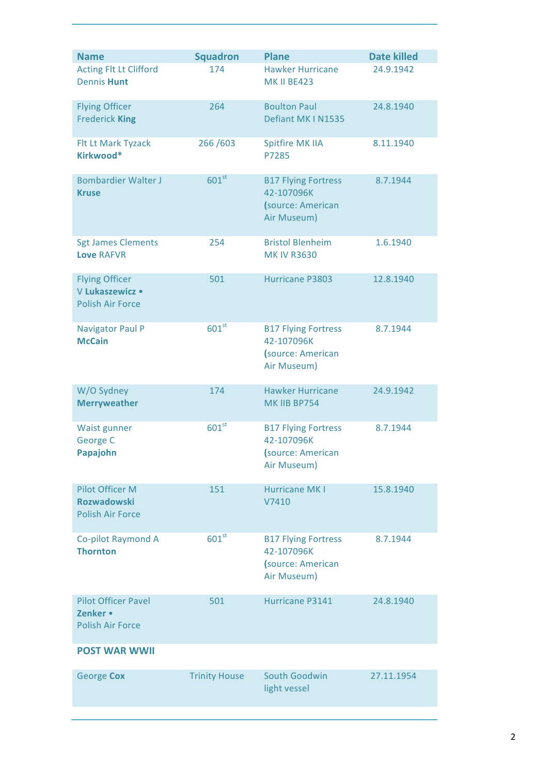| <b>Name</b>                                                             | <b>Squadron</b>      | <b>Plane</b>                                                                 | <b>Date killed</b> |
|-------------------------------------------------------------------------|----------------------|------------------------------------------------------------------------------|--------------------|
| <b>Acting Flt Lt Clifford</b><br><b>Dennis Hunt</b>                     | 174                  | <b>Hawker Hurricane</b><br><b>MK II BE423</b>                                | 24.9.1942          |
| <b>Flying Officer</b><br><b>Frederick King</b>                          | 264                  | <b>Boulton Paul</b><br>Defiant MK I N1535                                    | 24.8.1940          |
| Flt Lt Mark Tyzack<br>Kirkwood*                                         | 266/603              | <b>Spitfire MK IIA</b><br>P7285                                              | 8.11.1940          |
| <b>Bombardier Walter J</b><br><b>Kruse</b>                              | 601 <sup>st</sup>    | <b>B17 Flying Fortress</b><br>42-107096K<br>(source: American<br>Air Museum) | 8.7.1944           |
| <b>Sgt James Clements</b><br><b>Love RAFVR</b>                          | 254                  | <b>Bristol Blenheim</b><br><b>MK IV R3630</b>                                | 1.6.1940           |
| <b>Flying Officer</b><br>V Lukaszewicz •<br><b>Polish Air Force</b>     | 501                  | Hurricane P3803                                                              | 12.8.1940          |
| <b>Navigator Paul P</b><br><b>McCain</b>                                | $601^{st}$           | <b>B17 Flying Fortress</b><br>42-107096K<br>(source: American<br>Air Museum) | 8.7.1944           |
| W/O Sydney<br><b>Merryweather</b>                                       | 174                  | <b>Hawker Hurricane</b><br>MK IIB BP754                                      | 24.9.1942          |
| Waist gunner<br>George C<br>Papajohn                                    | 601 <sup>st</sup>    | <b>B17 Flying Fortress</b><br>42-107096K<br>(source: American<br>Air Museum) | 8.7.1944           |
| <b>Pilot Officer M</b><br><b>Rozwadowski</b><br><b>Polish Air Force</b> | 151                  | <b>Hurricane MKI</b><br>V7410                                                | 15.8.1940          |
| Co-pilot Raymond A<br><b>Thornton</b>                                   | 601 <sup>st</sup>    | <b>B17 Flying Fortress</b><br>42-107096K<br>(source: American<br>Air Museum) | 8.7.1944           |
| <b>Pilot Officer Pavel</b><br>Zenker •<br><b>Polish Air Force</b>       | 501                  | Hurricane P3141                                                              | 24.8.1940          |
| <b>POST WAR WWII</b>                                                    |                      |                                                                              |                    |
| George Cox                                                              | <b>Trinity House</b> | South Goodwin<br>light vessel                                                | 27.11.1954         |